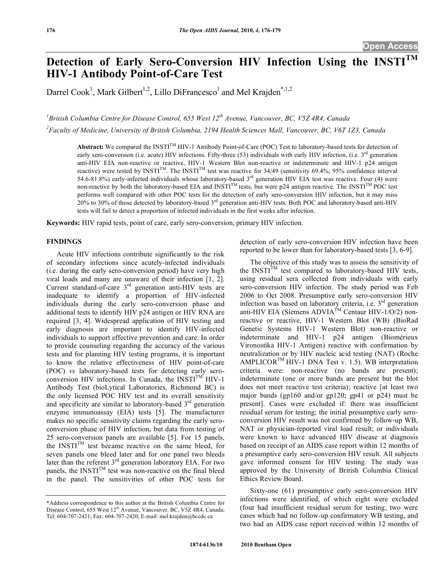# **Detection of Early Sero-Conversion HIV Infection Using the INSTITM HIV-1 Antibody Point-of-Care Test**

Darrel Cook<sup>1</sup>, Mark Gilbert<sup>1,2</sup>, Lillo DiFrancesco<sup>1</sup> and Mel Krajden<sup>\*,1,2</sup>

*1 British Columbia Centre for Disease Control, 655 West 12th Avenue, Vancouver, BC, V5Z 4R4, Canada* 

*2 Faculty of Medicine, University of British Columbia, 2194 Health Sciences Mall, Vancouver, BC, V6T 1Z3, Canada* 

Abstract: We compared the INSTI<sup>TM</sup> HIV-1 Antibody Point-of-Care (POC) Test to laboratory-based tests for detection of early sero-conversion (i.e. acute) HIV infections. Fifty-three (53) individuals with early HIV infection, (i.e.  $3^{rd}$  generation anti-HIV EIA non-reactive or reactive, HIV-1 Western Blot non-reactive or indeterminate and HIV-1 p24 antigen reactive) were tested by  $INSTI^{TM}$ . The  $INSTI^{TM}$  test was reactive for 34/49 (sensitivity 69.4%; 95% confidence interval 54.6-81.8%) early-infected individuals whose laboratory-based 3<sup>rd</sup> generation HIV EIA test was reactive. Four (4) were non-reactive by both the laboratory-based EIA and INSTI<sup>TM</sup> tests, but were p24 antigen reactive. The INSTI<sup>TM</sup> POC test performs well compared with other POC tests for the detection of early sero-conversion HIV infection, but it may miss 20% to 30% of those detected by laboratory-based 3<sup>rd</sup> generation anti-HIV tests. Both POC and laboratory-based anti-HIV tests will fail to detect a proportion of infected individuals in the first weeks after infection.

**Keywords:** HIV rapid tests, point of care, early sero-conversion, primary HIV infection.

## **FINDINGS**

 Acute HIV infections contribute significantly to the risk of secondary infections since acutely-infected individuals (i.e. during the early sero-conversion period) have very high viral loads and many are unaware of their infection [1, 2]. Current standard-of-care  $3<sup>rd</sup>$  generation anti-HIV tests are inadequate to identify a proportion of HIV-infected individuals during the early sero-conversion phase and additional tests to identify HIV p24 antigen or HIV RNA are required [3, 4]. Widespread application of HIV testing and early diagnosis are important to identify HIV-infected individuals to support effective prevention and care. In order to provide counseling regarding the accuracy of the various tests and for planning HIV testing programs, it is important to know the relative effectiveness of HIV point-of-care (POC) *vs* laboratory-based tests for detecting early seroconversion HIV infections. In Canada, the INSTI<sup>TM</sup> HIV-1 Antibody Test (bioLytical Laboratories, Richmond BC) is the only licensed POC HIV test and its overall sensitivity and specificity are similar to laboratory-based  $3<sup>rd</sup>$  generation enzyme immunoassay (EIA) tests [5]. The manufacturer makes no specific sensitivity claims regarding the early seroconversion phase of HIV infection, but data from testing of 25 sero-conversion panels are available [5]. For 15 panels, the  $INSTI<sup>TM</sup>$  test became reactive on the same bleed, for seven panels one bleed later and for one panel two bleeds later than the referent  $3<sup>rd</sup>$  generation laboratory EIA. For two panels, the INSTI $^{TM}$  test was non-reactive on the final bleed in the panel. The sensitivities of other POC tests for detection of early sero-conversion HIV infection have been reported to be lower than for laboratory-based tests [3, 6-9].

 The objective of this study was to assess the sensitivity of the INSTI<sup>TM</sup> test compared to laboratory-based HIV tests, using residual sera collected from individuals with early sero-conversion HIV infection. The study period was Feb 2006 to Oct 2008. Presumptive early sero-conversion HIV infection was based on laboratory criteria, i.e. 3<sup>rd</sup> generation anti-HIV EIA (Siemens ADVIA<sup>TM</sup> Centaur HIV-1/O/2) nonreactive or reactive, HIV-1 Western Blot (WB) (BioRad Genetic Systems HIV-1 Western Blot) non-reactive or indeterminate and HIV-1 p24 antigen (Biomérieux Vironostika HIV-1 Antigen) reactive with confirmation by neutralization or by HIV nucleic acid testing (NAT) (Roche AMPLICOR<sup>TM</sup> HIV-1 DNA Test v. 1.5). WB interpretation criteria were: non-reactive (no bands are present); indeterminate (one or more bands are present but the blot does not meet reactive test criteria); reactive [at least two major bands (gp160 and/or gp120; gp41 or p24) must be present]. Cases were excluded if: there was insufficient residual serum for testing; the initial presumptive early seroconversion HIV result was not confirmed by follow-up WB, NAT or physician-reported viral load result; or individuals were known to have advanced HIV disease at diagnosis based on receipt of an AIDS case report within 12 months of a presumptive early sero-conversion HIV result. All subjects gave informed consent for HIV testing. The study was approved by the University of British Columbia Clinical Ethics Review Board.

 Sixty-one (61) presumptive early sero-conversion HIV infections were identified, of which eight were excluded (four had insufficient residual serum for testing, two were cases which had no follow-up confirmatory WB testing, and two had an AIDS case report received within 12 months of

<sup>\*</sup>Address correspondence to this author at the British Columbia Centre for Disease Control, 655 West 12<sup>th</sup> Avenue, Vancouver, BC, V5Z 4R4, Canada; Tel: 604-707-2421; Fax: 604-707-2420; E-mail: mel.krajden@bccdc.ca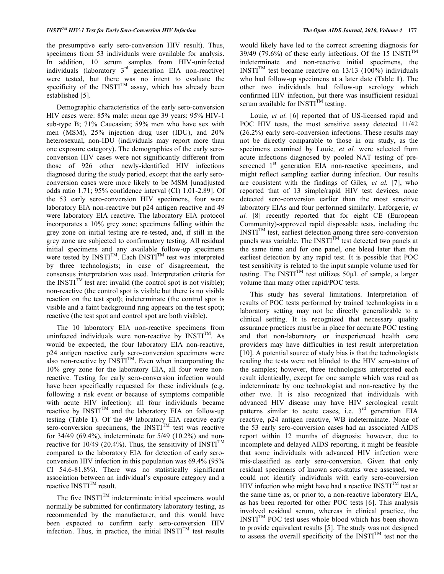the presumptive early sero-conversion HIV result). Thus, specimens from 53 individuals were available for analysis. In addition, 10 serum samples from HIV-uninfected individuals (laboratory 3<sup>rd</sup> generation EIA non-reactive) were tested, but there was no intent to evaluate the specificity of the INSTI<sup>TM</sup> assay, which has already been established [5].

 Demographic characteristics of the early sero-conversion HIV cases were: 85% male; mean age 39 years; 95% HIV-1 sub-type B; 71% Caucasian; 59% men who have sex with men (MSM), 25% injection drug user (IDU), and 20% heterosexual, non-IDU (individuals may report more than one exposure category). The demographics of the early seroconversion HIV cases were not significantly different from those of 926 other newly-identified HIV infections diagnosed during the study period, except that the early seroconversion cases were more likely to be MSM [unadjusted odds ratio 1.71; 95% confidence interval (CI) 1.01-2.89]. Of the 53 early sero-conversion HIV specimens, four were laboratory EIA non-reactive but p24 antigen reactive and 49 were laboratory EIA reactive. The laboratory EIA protocol incorporates a 10% grey zone; specimens falling within the grey zone on initial testing are re-tested, and, if still in the grey zone are subjected to confirmatory testing. All residual initial specimens and any available follow-up specimens were tested by INSTI<sup>TM</sup>. Each INSTI<sup>TM</sup> test was interpreted by three technologists; in case of disagreement, the consensus interpretation was used. Interpretation criteria for the INSTI<sup>TM</sup> test are: invalid (the control spot is not visible); non-reactive (the control spot is visible but there is no visible reaction on the test spot); indeterminate (the control spot is visible and a faint background ring appears on the test spot); reactive (the test spot and control spot are both visible).

 The 10 laboratory EIA non-reactive specimens from uninfected individuals were non-reactive by  $INSTI^{TM}$ . As would be expected, the four laboratory EIA non-reactive, p24 antigen reactive early sero-conversion specimens were also non-reactive by  $INSTI^{TM}$ . Even when incorporating the 10% grey zone for the laboratory EIA, all four were nonreactive. Testing for early sero-conversion infection would have been specifically requested for these individuals (e.g. following a risk event or because of symptoms compatible with acute HIV infection); all four individuals became reactive by  $INSTI<sup>TM</sup>$  and the laboratory EIA on follow-up testing (Table **1**). Of the 49 laboratory EIA reactive early sero-conversion specimens, the INSTI<sup>TM</sup> test was reactive for 34/49 (69.4%), indeterminate for 5/49 (10.2%) and nonreactive for 10/49 (20.4%). Thus, the sensitivity of INSTI<sup>TM</sup> compared to the laboratory EIA for detection of early seroconversion HIV infection in this population was 69.4% (95% CI 54.6-81.8%). There was no statistically significant association between an individual's exposure category and a reactive  $INSTI<sup>TM</sup>$  result.

The five  $INSTI^{TM}$  indeterminate initial specimens would normally be submitted for confirmatory laboratory testing, as recommended by the manufacturer, and this would have been expected to confirm early sero-conversion HIV infection. Thus, in practice, the initial INSTI<sup>TM</sup> test results

would likely have led to the correct screening diagnosis for 39/49 (79.6%) of these early infections. Of the 15 INSTI<sup>TM</sup> indeterminate and non-reactive initial specimens, the INSTI<sup>TM</sup> test became reactive on 13/13 (100%) individuals who had follow-up specimens at a later date (Table **1**). The other two individuals had follow-up serology which confirmed HIV infection, but there was insufficient residual serum available for  $INSTI<sup>TM</sup>$  testing.

 Louie*, et al.* [6] reported that of US-licensed rapid and POC HIV tests, the most sensitive assay detected 11/42 (26.2%) early sero-conversion infections. These results may not be directly comparable to those in our study, as the specimens examined by Louie*, et al.* were selected from acute infections diagnosed by pooled NAT testing of prescreened  $1<sup>st</sup>$  generation EIA non-reactive specimens, and might reflect sampling earlier during infection. Our results are consistent with the findings of Giles*, et al.* [7], who reported that of 13 simple/rapid HIV test devices, none detected sero-conversion earlier than the most sensitive laboratory EIAs and four performed similarly. Laforgerie, *et al.* [8] recently reported that for eight CE (European Community)-approved rapid disposable tests, including the  $INSTI<sup>TM</sup>$  test, earliest detection among three sero-conversion panels was variable. The INSTI<sup>TM</sup> test detected two panels at the same time and for one panel, one bleed later than the earliest detection by any rapid test. It is possible that POC test sensitivity is related to the input sample volume used for testing. The INSTI<sup>TM</sup> test utilizes  $50 \mu L$  of sample, a larger volume than many other rapid/POC tests.

 This study has several limitations. Interpretation of results of POC tests performed by trained technologists in a laboratory setting may not be directly generalizable to a clinical setting. It is recognized that necessary quality assurance practices must be in place for accurate POC testing and that non-laboratory or inexperienced health care providers may have difficulties in test result interpretation [10]. A potential source of study bias is that the technologists reading the tests were not blinded to the HIV sero-status of the samples; however, three technologists interpreted each result identically, except for one sample which was read as indeterminate by one technologist and non-reactive by the other two. It is also recognized that individuals with advanced HIV disease may have HIV serological result patterns similar to acute cases, i.e.  $3<sup>rd</sup>$  generation EIA reactive, p24 antigen reactive, WB indeterminate. None of the 53 early sero-conversion cases had an associated AIDS report within 12 months of diagnosis; however, due to incomplete and delayed AIDS reporting, it might be feasible that some individuals with advanced HIV infection were mis-classified as early sero-conversion. Given that only residual specimens of known sero-status were assessed, we could not identify individuals with early sero-conversion HIV infection who might have had a reactive INSTI<sup>TM</sup> test at the same time as, or prior to, a non-reactive laboratory EIA, as has been reported for other POC tests [6]. This analysis involved residual serum, whereas in clinical practice, the  $INSTI<sup>TM</sup>$  POC test uses whole blood which has been shown to provide equivalent results [5]. The study was not designed to assess the overall specificity of the INSTI<sup>TM</sup> test nor the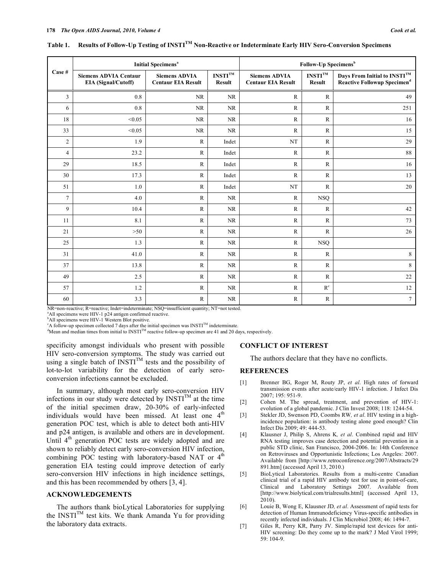| Case #         | <b>Initial Specimens<sup>a</sup></b>                       |                                                   |                                                 | <b>Follow-Up Specimens</b> <sup>b</sup>           |                                                 |                                                                                                |
|----------------|------------------------------------------------------------|---------------------------------------------------|-------------------------------------------------|---------------------------------------------------|-------------------------------------------------|------------------------------------------------------------------------------------------------|
|                | <b>Siemens ADVIA Centaur</b><br><b>EIA</b> (Signal/Cutoff) | <b>Siemens ADVIA</b><br><b>Centaur EIA Result</b> | $\mathbf{INSTI}^{\mathbf{TM}}$<br><b>Result</b> | <b>Siemens ADVIA</b><br><b>Centaur EIA Result</b> | $\mathbf{INSTI}^{\mathbf{TM}}$<br><b>Result</b> | Days From Initial to $\mathbf{INSTI}^{\mathsf{TM}}$<br>Reactive Followup Specimen <sup>d</sup> |
| $\overline{3}$ | 0.8                                                        | <b>NR</b>                                         | <b>NR</b>                                       | $\mathbf R$                                       | $\mathbb{R}$                                    | 49                                                                                             |
| 6              | 0.8                                                        | <b>NR</b>                                         | <b>NR</b>                                       | $\mathbb R$                                       | $\mathbb{R}$                                    | 251                                                                                            |
| 18             | < 0.05                                                     | <b>NR</b>                                         | <b>NR</b>                                       | $\mathbf R$                                       | $\mathbb{R}$                                    | 16                                                                                             |
| 33             | < 0.05                                                     | NR                                                | NR                                              | $\mathbf R$                                       | $\mathbf R$                                     | 15                                                                                             |
| $\overline{2}$ | 1.9                                                        | $\mathbf R$                                       | Indet                                           | NT                                                | $\mathbf R$                                     | 29                                                                                             |
| $\overline{4}$ | 23.2                                                       | R                                                 | Indet                                           | $\mathbb{R}$                                      | $\mathbb{R}$                                    | 88                                                                                             |
| 29             | 18.5                                                       | $\mathbb{R}$                                      | Indet                                           | $\mathbb{R}$                                      | $\mathbb{R}$                                    | 16                                                                                             |
| 30             | 17.3                                                       | $\mathbf R$                                       | Indet                                           | $\mathbf R$                                       | $\mathbb{R}$                                    | 13                                                                                             |
| 51             | 1.0                                                        | $\mathbb{R}$                                      | Indet                                           | NT                                                | $\mathbb{R}$                                    | 20                                                                                             |
| $\overline{7}$ | 4.0                                                        | R                                                 | NR                                              | $\mathbb{R}$                                      | <b>NSQ</b>                                      |                                                                                                |
| 9              | 10.4                                                       | $\mathbb{R}$                                      | <b>NR</b>                                       | $\mathbf R$                                       | $\mathbb{R}$                                    | 42                                                                                             |
| 11             | 8.1                                                        | R                                                 | NR                                              | $\mathbf R$                                       | $\mathbf R$                                     | 73                                                                                             |
| 21             | >50                                                        | R                                                 | NR                                              | $\mathbb{R}$                                      | $\mathbb{R}$                                    | 26                                                                                             |
| 25             | 1.3                                                        | R                                                 | <b>NR</b>                                       | $\mathbb{R}$                                      | <b>NSQ</b>                                      |                                                                                                |
| 31             | 41.0                                                       | R                                                 | NR                                              | $\mathbb{R}$                                      | $\mathbb{R}$                                    | $\,8\,$                                                                                        |
| 37             | 13.8                                                       | $\mathbb{R}$                                      | <b>NR</b>                                       | $\mathbb{R}$                                      | $\mathbb{R}$                                    | 8                                                                                              |
| 49             | 2.5                                                        | $\mathbb{R}$                                      | <b>NR</b>                                       | $\mathbb{R}$                                      | $\mathbb{R}$                                    | 22                                                                                             |
| 57             | 1.2                                                        | $\mathbf R$                                       | NR                                              | $\mathbf R$                                       | $\mathbf{R}^\mathrm{c}$                         | 12                                                                                             |
| 60             | 3.3                                                        | R                                                 | NR                                              | R                                                 | $\mathbb{R}$                                    | $\tau$                                                                                         |

**Table 1. Results of Follow-Up Testing of INSTITM Non-Reactive or Indeterminate Early HIV Sero-Conversion Specimens** 

NR=non-reactive; R=reactive; Indet=indeterminate; NSQ=insufficient quantity; NT=not tested.

 $A$ <sup>a</sup> All specimens were HIV-1 p24 antigen confirmed reactive.

<sup>b</sup>All specimens were HIV-1 Western Blot positive.

 $^{\circ}$ A follow-up specimen collected 7 days after the initial specimen was INSTI<sup>TM</sup> indeterminate.

 $M$ ean and median times from initial to  $INSTI<sup>TM</sup>$  reactive follow-up specimen are 41 and 20 days, respectively.

specificity amongst individuals who present with possible HIV sero-conversion symptoms. The study was carried out using a single batch of  $\text{INSTI}^{\text{TM}}$  tests and the possibility of lot-to-lot variability for the detection of early seroconversion infections cannot be excluded.

 In summary, although most early sero-conversion HIV infections in our study were detected by  $INSTI<sup>TM</sup>$  at the time of the initial specimen draw, 20-30% of early-infected individuals would have been missed. At least one  $4<sup>th</sup>$ generation POC test, which is able to detect both anti-HIV and p24 antigen, is available and others are in development. Until  $4<sup>th</sup>$  generation POC tests are widely adopted and are shown to reliably detect early sero-conversion HIV infection, combining POC testing with laboratory-based NAT or  $4<sup>th</sup>$ generation EIA testing could improve detection of early sero-conversion HIV infections in high incidence settings, and this has been recommended by others [3, 4].

## **ACKNOWLEDGEMENTS**

 The authors thank bioLytical Laboratories for supplying the INSTI<sup>TM</sup> test kits. We thank Amanda Yu for providing the laboratory data extracts.

#### **CONFLICT OF INTEREST**

The authors declare that they have no conflicts.

## **REFERENCES**

- [1] Brenner BG, Roger M, Routy JP, *et al*. High rates of forward transmission events after acute/early HIV-1 infection. J Infect Dis 2007; 195: 951-9.
- [2] Cohen M. The spread, treatment, and prevention of HIV-1: evolution of a global pandemic. J Clin Invest 2008; 118: 1244-54.
- [3] Stekler JD, Swenson PD, Coombs RW*, et al*. HIV testing in a highincidence population: is antibody testing alone good enough? Clin Infect Dis 2009; 49: 444-53.
- [4] Klausner J, Philip S, Ahrens K*, et al*. Combined rapid and HIV RNA testing improves case detection and potential prevention in a public STD clinic, San Francisco, 2004-2006. In: 14th Conference on Retroviruses and Opportunistic Infections; Los Angeles: 2007. Available from [http://www.retroconference.org/2007/Abstracts/29 891.htm] (accessed April 13, 2010.)
- [5] BioLytical Laboratories. Results from a multi-centre Canadian clinical trial of a rapid HIV antibody test for use in point-of-care, Clinical and Laboratory Settings 2007. Available from [http://www.biolytical.com/trialresults.html] (accessed April 13, 2010).
- [6] Louie B, Wong E, Klausner JD*, et al*. Assessment of rapid tests for detection of Human Immunodeficiency Virus-specific antibodies in recently infected individuals. J Clin Microbiol 2008; 46: 1494-7.
- [7] Giles R, Perry KR, Parry JV. Simple/rapid test devices for anti-HIV screening: Do they come up to the mark? J Med Virol 1999; 59: 104-9.